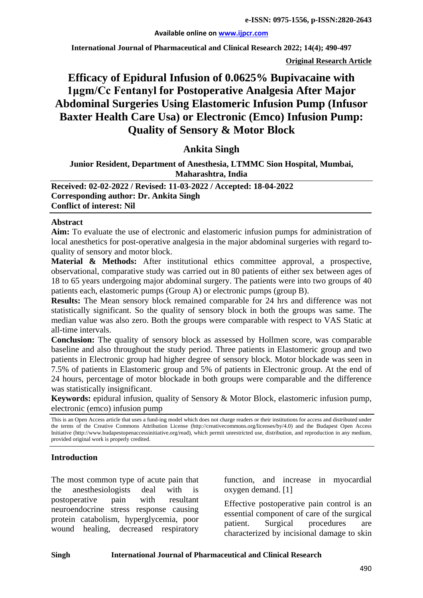#### **Available online on [www.ijpcr.com](http://www.ijpcr.com/)**

**International Journal of Pharmaceutical and Clinical Research 2022; 14(4); 490-497**

**Original Research Article**

# **Efficacy of Epidural Infusion of 0.0625% Bupivacaine with 1μgm/Cc Fentanyl for Postoperative Analgesia After Major Abdominal Surgeries Using Elastomeric Infusion Pump (Infusor Baxter Health Care Usa) or Electronic (Emco) Infusion Pump: Quality of Sensory & Motor Block**

## **Ankita Singh**

## **Junior Resident, Department of Anesthesia, LTMMC Sion Hospital, Mumbai, Maharashtra, India**

**Received: 02-02-2022 / Revised: 11-03-2022 / Accepted: 18-04-2022 Corresponding author: Dr. Ankita Singh Conflict of interest: Nil**

#### **Abstract**

**Aim:** To evaluate the use of electronic and elastomeric infusion pumps for administration of local anesthetics for post-operative analgesia in the major abdominal surgeries with regard toquality of sensory and motor block.

**Material & Methods:** After institutional ethics committee approval, a prospective, observational, comparative study was carried out in 80 patients of either sex between ages of 18 to 65 years undergoing major abdominal surgery. The patients were into two groups of 40 patients each, elastomeric pumps (Group A) or electronic pumps (group B).

**Results:** The Mean sensory block remained comparable for 24 hrs and difference was not statistically significant. So the quality of sensory block in both the groups was same. The median value was also zero. Both the groups were comparable with respect to VAS Static at all-time intervals.

**Conclusion:** The quality of sensory block as assessed by Hollmen score, was comparable baseline and also throughout the study period. Three patients in Elastomeric group and two patients in Electronic group had higher degree of sensory block. Motor blockade was seen in 7.5% of patients in Elastomeric group and 5% of patients in Electronic group. At the end of 24 hours, percentage of motor blockade in both groups were comparable and the difference was statistically insignificant.

**Keywords:** epidural infusion, quality of Sensory & Motor Block, elastomeric infusion pump, electronic (emco) infusion pump

This is an Open Access article that uses a fund-ing model which does not charge readers or their institutions for access and distributed under the terms of the Creative Commons Attribution License (http://creativecommons.org/licenses/by/4.0) and the Budapest Open Access Initiative (http://www.budapestopenaccessinitiative.org/read), which permit unrestricted use, distribution, and reproduction in any medium, provided original work is properly credited.

#### **Introduction**

The most common type of acute pain that the anesthesiologists deal with is postoperative pain with resultant neuroendocrine stress response causing protein catabolism, hyperglycemia, poor wound healing, decreased respiratory

function, and increase in myocardial oxygen demand. [1]

Effective postoperative pain control is an essential component of care of the surgical patient. Surgical procedures are characterized by incisional damage to skin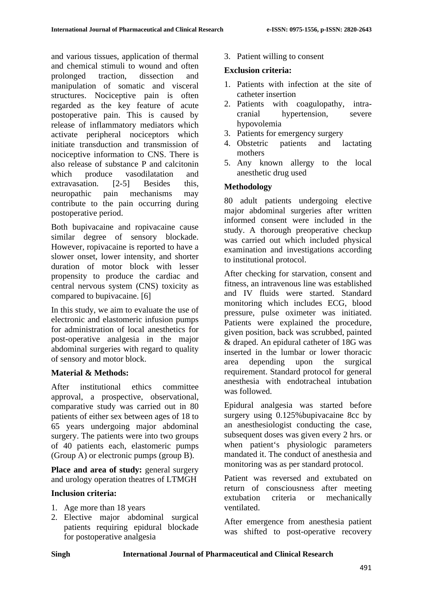and various tissues, application of thermal and chemical stimuli to wound and often prolonged traction, dissection and manipulation of somatic and visceral structures. Nociceptive pain is often regarded as the key feature of acute postoperative pain. This is caused by release of inflammatory mediators which activate peripheral nociceptors which initiate transduction and transmission of nociceptive information to CNS. There is also release of substance P and calcitonin which produce vasodilatation and extravasation. [2-5] Besides this, neuropathic pain mechanisms may contribute to the pain occurring during postoperative period.

Both bupivacaine and ropivacaine cause similar degree of sensory blockade. However, ropivacaine is reported to have a slower onset, lower intensity, and shorter duration of motor block with lesser propensity to produce the cardiac and central nervous system (CNS) toxicity as compared to bupivacaine. [6]

In this study, we aim to evaluate the use of electronic and elastomeric infusion pumps for administration of local anesthetics for post-operative analgesia in the major abdominal surgeries with regard to quality of sensory and motor block.

# **Material & Methods:**

After institutional ethics committee approval, a prospective, observational, comparative study was carried out in 80 patients of either sex between ages of 18 to 65 years undergoing major abdominal surgery. The patients were into two groups of 40 patients each, elastomeric pumps (Group A) or electronic pumps (group B).

Place and area of study: general surgery and urology operation theatres of LTMGH

# **Inclusion criteria:**

- 1. Age more than 18 years
- 2. Elective major abdominal surgical patients requiring epidural blockade for postoperative analgesia

3. Patient willing to consent

# **Exclusion criteria:**

- 1. Patients with infection at the site of catheter insertion
- 2. Patients with coagulopathy, intracranial hypertension, severe hypovolemia
- 3. Patients for emergency surgery
- 4. Obstetric patients and lactating mothers
- 5. Any known allergy to the local anesthetic drug used

## **Methodology**

80 adult patients undergoing elective major abdominal surgeries after written informed consent were included in the study. A thorough preoperative checkup was carried out which included physical examination and investigations according to institutional protocol.

After checking for starvation, consent and fitness, an intravenous line was established and IV fluids were started. Standard monitoring which includes ECG, blood pressure, pulse oximeter was initiated. Patients were explained the procedure, given position, back was scrubbed, painted & draped. An epidural catheter of 18G was inserted in the lumbar or lower thoracic area depending upon the surgical requirement. Standard protocol for general anesthesia with endotracheal intubation was followed.

Epidural analgesia was started before surgery using 0.125% bupivacaine 8cc by an anesthesiologist conducting the case, subsequent doses was given every 2 hrs. or when patient's physiologic parameters mandated it. The conduct of anesthesia and monitoring was as per standard protocol.

Patient was reversed and extubated on return of consciousness after meeting extubation criteria or mechanically ventilated.

After emergence from anesthesia patient was shifted to post-operative recovery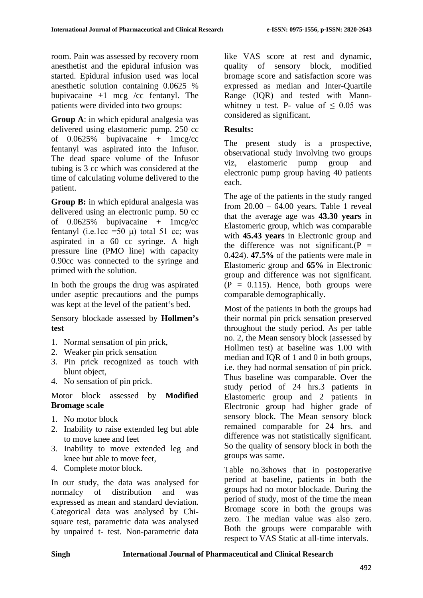room. Pain was assessed by recovery room anesthetist and the epidural infusion was started. Epidural infusion used was local anesthetic solution containing 0.0625 % bupivacaine  $+1$  mcg /cc fentanyl. The patients were divided into two groups:

**Group A**: in which epidural analgesia was delivered using elastomeric pump. 250 cc of  $0.0625\%$  bupivacaine + 1mcg/cc fentanyl was aspirated into the Infusor. The dead space volume of the Infusor tubing is 3 cc which was considered at the time of calculating volume delivered to the patient.

**Group B:** in which epidural analgesia was delivered using an electronic pump. 50 cc of  $0.0625\%$  bupivacaine + 1mcg/cc fentanyl (i.e.1cc =50 μ) total 51 cc; was aspirated in a 60 cc syringe. A high pressure line (PMO line) with capacity 0.90cc was connected to the syringe and primed with the solution.

In both the groups the drug was aspirated under aseptic precautions and the pumps was kept at the level of the patient's bed.

Sensory blockade assessed by **Hollmen's test** 

- 1. Normal sensation of pin prick,
- 2. Weaker pin prick sensation
- 3. Pin prick recognized as touch with blunt object,
- 4. No sensation of pin prick.

## Motor block assessed by **Modified Bromage scale**

- 1. No motor block
- 2. Inability to raise extended leg but able to move knee and feet
- 3. Inability to move extended leg and knee but able to move feet,
- 4. Complete motor block.

In our study, the data was analysed for normalcy of distribution and was expressed as mean and standard deviation. Categorical data was analysed by Chisquare test, parametric data was analysed by unpaired t- test. Non-parametric data like VAS score at rest and dynamic, quality of sensory block, modified bromage score and satisfaction score was expressed as median and Inter-Quartile Range (IQR) and tested with Mannwhitney u test. P- value of  $\leq 0.05$  was considered as significant.

# **Results:**

The present study is a prospective, observational study involving two groups viz, elastomeric pump group and electronic pump group having 40 patients each.

The age of the patients in the study ranged from  $20.00 - 64.00$  years. Table 1 reveal that the average age was **43.30 years** in Elastomeric group, which was comparable with **45.43 years** in Electronic group and the difference was not significant.( $P =$ 0.424). **47.5%** of the patients were male in Elastomeric group and **65%** in Electronic group and difference was not significant.  $(P = 0.115)$ . Hence, both groups were comparable demographically.

Most of the patients in both the groups had their normal pin prick sensation preserved throughout the study period. As per table no. 2, the Mean sensory block (assessed by Hollmen test) at baseline was 1.00 with median and IQR of 1 and 0 in both groups, i.e. they had normal sensation of pin prick. Thus baseline was comparable. Over the study period of 24 hrs.3 patients in Elastomeric group and 2 patients in Electronic group had higher grade of sensory block. The Mean sensory block remained comparable for 24 hrs. and difference was not statistically significant. So the quality of sensory block in both the groups was same.

Table no.3shows that in postoperative period at baseline, patients in both the groups had no motor blockade. During the period of study, most of the time the mean Bromage score in both the groups was zero. The median value was also zero. Both the groups were comparable with respect to VAS Static at all-time intervals.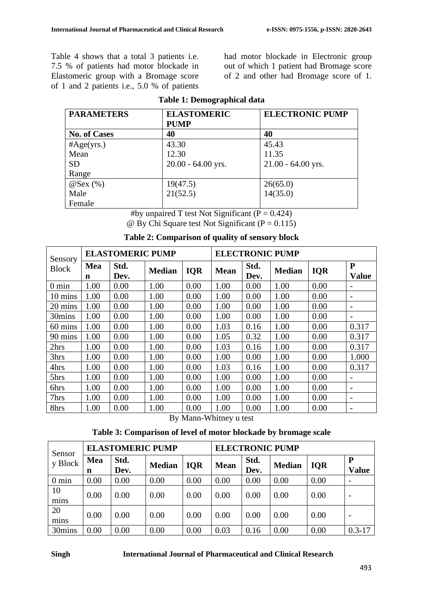Table 4 shows that a total 3 patients i.e. 7.5 % of patients had motor blockade in Elastomeric group with a Bromage score of 1 and 2 patients i.e., 5.0 % of patients

had motor blockade in Electronic group out of which 1 patient had Bromage score of 2 and other had Bromage score of 1.

| <b>PARAMETERS</b>   | <b>ELASTOMERIC</b>   | <b>ELECTRONIC PUMP</b> |  |  |
|---------------------|----------------------|------------------------|--|--|
|                     | <b>PUMP</b>          |                        |  |  |
| <b>No. of Cases</b> | 40                   | 40                     |  |  |
| #Age(yrs.)          | 43.30                | 45.43                  |  |  |
| Mean                | 12.30                | 11.35                  |  |  |
| <b>SD</b>           | $20.00 - 64.00$ yrs. | $21.00 - 64.00$ yrs.   |  |  |
| Range               |                      |                        |  |  |
| $@$ Sex $(\%)$      | 19(47.5)             | 26(65.0)               |  |  |
| Male                | 21(52.5)             | 14(35.0)               |  |  |
| Female              |                      |                        |  |  |

#### **Table 1: Demographical data**

#by unpaired T test Not Significant ( $P = 0.424$ )  $\omega$  By Chi Square test Not Significant (P = 0.115)

| Sensory         | <b>ELASTOMERIC PUMP</b> |              |               |            | <b>ELECTRONIC PUMP</b> |              |               |            |                           |
|-----------------|-------------------------|--------------|---------------|------------|------------------------|--------------|---------------|------------|---------------------------|
| <b>Block</b>    | Mea<br>n                | Std.<br>Dev. | <b>Median</b> | <b>IQR</b> | <b>Mean</b>            | Std.<br>Dev. | <b>Median</b> | <b>IQR</b> | ${\bf P}$<br><b>Value</b> |
| $0 \text{ min}$ | 1.00                    | 0.00         | 1.00          | 0.00       | 1.00                   | 0.00         | 1.00          | 0.00       |                           |
| 10 mins         | 1.00                    | 0.00         | 1.00          | 0.00       | 1.00                   | 0.00         | 1.00          | 0.00       | $\overline{\phantom{a}}$  |
| 20 mins         | 1.00                    | 0.00         | 1.00          | 0.00       | 1.00                   | 0.00         | 1.00          | 0.00       |                           |
| 30mins          | 1.00                    | 0.00         | 1.00          | 0.00       | 1.00                   | 0.00         | 1.00          | 0.00       |                           |
| 60 mins         | 1.00                    | 0.00         | 1.00          | 0.00       | 1.03                   | 0.16         | 1.00          | 0.00       | 0.317                     |
| 90 mins         | 1.00                    | 0.00         | 1.00          | 0.00       | 1.05                   | 0.32         | 1.00          | 0.00       | 0.317                     |
| 2hrs            | 1.00                    | 0.00         | 1.00          | 0.00       | 1.03                   | 0.16         | 1.00          | 0.00       | 0.317                     |
| 3hrs            | 1.00                    | 0.00         | 1.00          | 0.00       | 1.00                   | 0.00         | 1.00          | 0.00       | 1.000                     |
| 4hrs            | 1.00                    | 0.00         | 1.00          | 0.00       | 1.03                   | 0.16         | 1.00          | 0.00       | 0.317                     |
| 5hrs            | 1.00                    | 0.00         | 1.00          | 0.00       | 1.00                   | 0.00         | 1.00          | 0.00       |                           |
| 6hrs            | 1.00                    | 0.00         | 1.00          | 0.00       | 1.00                   | 0.00         | 1.00          | 0.00       |                           |
| 7hrs            | 1.00                    | 0.00         | 1.00          | 0.00       | 1.00                   | 0.00         | 1.00          | 0.00       | $\overline{\phantom{0}}$  |
| 8hrs            | 1.00                    | 0.00         | 1.00          | 0.00       | 1.00                   | 0.00         | 1.00          | 0.00       |                           |

### **Table 2: Comparison of quality of sensory block**

By Mann-Whitney u test

## **Table 3: Comparison of level of motor blockade by bromage scale**

| Sensor<br>y Block | <b>ELASTOMERIC PUMP</b> |              |               |            | <b>ELECTRONIC PUMP</b> |              |               |            |                          |
|-------------------|-------------------------|--------------|---------------|------------|------------------------|--------------|---------------|------------|--------------------------|
|                   | Mea<br>n                | Std.<br>Dev. | <b>Median</b> | <b>IOR</b> | <b>Mean</b>            | Std.<br>Dev. | <b>Median</b> | <b>IOR</b> | P<br><b>Value</b>        |
| $0 \text{ min}$   | 0.00                    | 0.00         | 0.00          | 0.00       | 0.00                   | 0.00         | 0.00          | 0.00       | $\overline{\phantom{0}}$ |
| 10<br>mins        | 0.00                    | 0.00         | 0.00          | 0.00       | 0.00                   | 0.00         | 0.00          | 0.00       |                          |
| 20<br>mins        | 0.00                    | 0.00         | 0.00          | 0.00       | 0.00                   | 0.00         | 0.00          | 0.00       |                          |
| 30mins            | 0.00                    | 0.00         | 0.00          | 0.00       | 0.03                   | 0.16         | 0.00          | 0.00       | $0.3 - 17$               |

#### **Singh International Journal of Pharmaceutical and Clinical Research**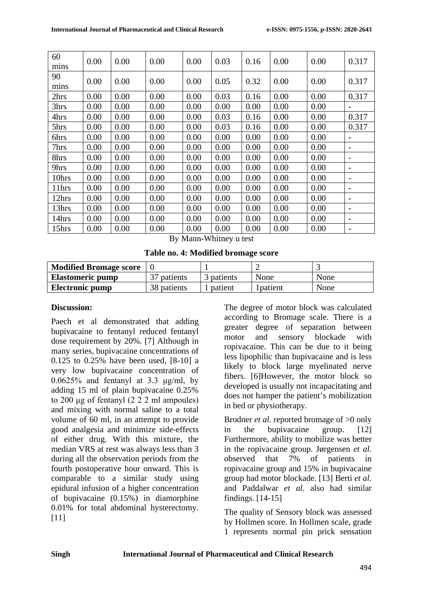| 60    | 0.00 | 0.00 | 0.00 | 0.00 | 0.03 | 0.16 | 0.00 | 0.00 | 0.317           |
|-------|------|------|------|------|------|------|------|------|-----------------|
| mins  |      |      |      |      |      |      |      |      |                 |
| 90    | 0.00 | 0.00 | 0.00 | 0.00 | 0.05 | 0.32 | 0.00 | 0.00 | 0.317           |
| mins  |      |      |      |      |      |      |      |      |                 |
| 2hrs  | 0.00 | 0.00 | 0.00 | 0.00 | 0.03 | 0.16 | 0.00 | 0.00 | 0.317           |
| 3hrs  | 0.00 | 0.00 | 0.00 | 0.00 | 0.00 | 0.00 | 0.00 | 0.00 |                 |
| 4hrs  | 0.00 | 0.00 | 0.00 | 0.00 | 0.03 | 0.16 | 0.00 | 0.00 | 0.317           |
| 5hrs  | 0.00 | 0.00 | 0.00 | 0.00 | 0.03 | 0.16 | 0.00 | 0.00 | 0.317           |
| 6hrs  | 0.00 | 0.00 | 0.00 | 0.00 | 0.00 | 0.00 | 0.00 | 0.00 |                 |
| 7hrs  | 0.00 | 0.00 | 0.00 | 0.00 | 0.00 | 0.00 | 0.00 | 0.00 |                 |
| 8hrs  | 0.00 | 0.00 | 0.00 | 0.00 | 0.00 | 0.00 | 0.00 | 0.00 |                 |
| 9hrs  | 0.00 | 0.00 | 0.00 | 0.00 | 0.00 | 0.00 | 0.00 | 0.00 |                 |
| 10hrs | 0.00 | 0.00 | 0.00 | 0.00 | 0.00 | 0.00 | 0.00 | 0.00 |                 |
| 11hrs | 0.00 | 0.00 | 0.00 | 0.00 | 0.00 | 0.00 | 0.00 | 0.00 |                 |
| 12hrs | 0.00 | 0.00 | 0.00 | 0.00 | 0.00 | 0.00 | 0.00 | 0.00 | $\qquad \qquad$ |
| 13hrs | 0.00 | 0.00 | 0.00 | 0.00 | 0.00 | 0.00 | 0.00 | 0.00 |                 |
| 14hrs | 0.00 | 0.00 | 0.00 | 0.00 | 0.00 | 0.00 | 0.00 | 0.00 |                 |
| 15hrs | 0.00 | 0.00 | 0.00 | 0.00 | 0.00 | 0.00 | 0.00 | 0.00 |                 |

By Mann-Whitney u test

**Table no. 4: Modified bromage score**

| <b>Modified Bromage score</b> |             |            |           |      |
|-------------------------------|-------------|------------|-----------|------|
| <b>Elastomeric pump</b>       | 37 patients | 3 patients | None      | None |
| <b>Electronic pump</b>        | 38 patients | patient    | l patient | None |

### **Discussion:**

Paech et al demonstrated that adding bupivacaine to fentanyl reduced fentanyl dose requirement by 20%. [7] Although in many series, bupivacaine concentrations of 0.125 to 0.25% have been used, [8-10] a very low bupivacaine concentration of 0.0625% and fentanyl at 3.3  $\mu$ g/ml, by adding 15 ml of plain bupivacaine 0.25% to 200 μg of fentanyl (2 2 2 ml ampoules) and mixing with normal saline to a total volume of 60 ml, in an attempt to provide good analgesia and minimize side-effects of either drug. With this mixture, the median VRS at rest was always less than 3 during all the observation periods from the fourth postoperative hour onward. This is comparable to a similar study using epidural infusion of a higher concentration of bupivacaine (0.15%) in diamorphine 0.01% for total abdominal hysterectomy. [11]

The degree of motor block was calculated according to Bromage scale. There is a greater degree of separation between motor and sensory blockade with ropivacaine. This can be due to it being less lipophilic than bupivacaine and is less likely to block large myelinated nerve fibers. [6]However, the motor block so developed is usually not incapacitating and does not hamper the patient's mobilization in bed or physiotherapy.

Brodner *et al*. reported bromage of >0 only in the bupivacaine group. [12] Furthermore, ability to mobilize was better in the ropivacaine group. Jørgensen *et al*. observed that 7% of patients in ropivacaine group and 15% in bupivacaine group had motor blockade. [13] Berti *et al*. and Paddalwar *et al*. also had similar findings. [14-15]

The quality of Sensory block was assessed by Hollmen score. In Hollmen scale, grade 1 represents normal pin prick sensation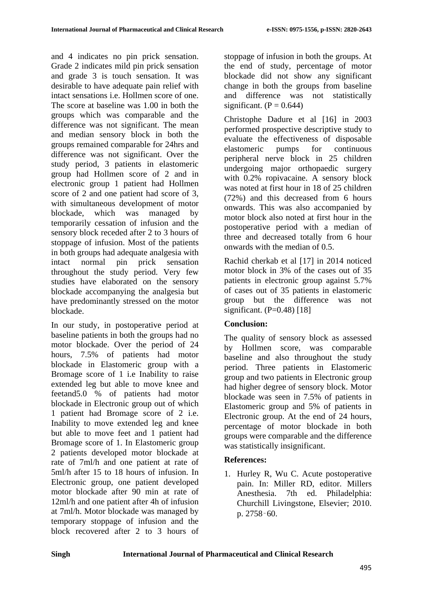and 4 indicates no pin prick sensation. Grade 2 indicates mild pin prick sensation and grade 3 is touch sensation. It was desirable to have adequate pain relief with intact sensations i.e. Hollmen score of one. The score at baseline was 1.00 in both the groups which was comparable and the difference was not significant. The mean and median sensory block in both the groups remained comparable for 24hrs and difference was not significant. Over the study period, 3 patients in elastomeric group had Hollmen score of 2 and in electronic group 1 patient had Hollmen score of 2 and one patient had score of 3, with simultaneous development of motor blockade, which was managed by temporarily cessation of infusion and the sensory block receded after 2 to 3 hours of stoppage of infusion. Most of the patients in both groups had adequate analgesia with intact normal pin prick sensation throughout the study period. Very few studies have elaborated on the sensory blockade accompanying the analgesia but have predominantly stressed on the motor blockade.

In our study, in postoperative period at baseline patients in both the groups had no motor blockade. Over the period of 24 hours, 7.5% of patients had motor blockade in Elastomeric group with a Bromage score of 1 i.e Inability to raise extended leg but able to move knee and feetand5.0 % of patients had motor blockade in Electronic group out of which 1 patient had Bromage score of 2 i.e. Inability to move extended leg and knee but able to move feet and 1 patient had Bromage score of 1. In Elastomeric group 2 patients developed motor blockade at rate of 7ml/h and one patient at rate of 5ml/h after 15 to 18 hours of infusion. In Electronic group, one patient developed motor blockade after 90 min at rate of 12ml/h and one patient after 4h of infusion at 7ml/h. Motor blockade was managed by temporary stoppage of infusion and the block recovered after 2 to 3 hours of stoppage of infusion in both the groups. At the end of study, percentage of motor blockade did not show any significant change in both the groups from baseline and difference was not statistically significant.  $(P = 0.644)$ 

Christophe Dadure et al [16] in 2003 performed prospective descriptive study to evaluate the effectiveness of disposable elastomeric pumps for continuous peripheral nerve block in 25 children undergoing major orthopaedic surgery with 0.2% ropivacaine. A sensory block was noted at first hour in 18 of 25 children (72%) and this decreased from 6 hours onwards. This was also accompanied by motor block also noted at first hour in the postoperative period with a median of three and decreased totally from 6 hour onwards with the median of 0.5.

Rachid cherkab et al [17] in 2014 noticed motor block in 3% of the cases out of 35 patients in electronic group against 5.7% of cases out of 35 patients in elastomeric group but the difference was not significant.  $(P=0.48)$  [18]

# **Conclusion:**

The quality of sensory block as assessed by Hollmen score, was comparable baseline and also throughout the study period. Three patients in Elastomeric group and two patients in Electronic group had higher degree of sensory block. Motor blockade was seen in 7.5% of patients in Elastomeric group and 5% of patients in Electronic group. At the end of 24 hours, percentage of motor blockade in both groups were comparable and the difference was statistically insignificant.

# **References:**

1. Hurley R, Wu C. Acute postoperative pain. In: Miller RD, editor. Millers Anesthesia. 7th ed. Philadelphia: Churchill Livingstone, Elsevier; 2010. p. 2758‑60.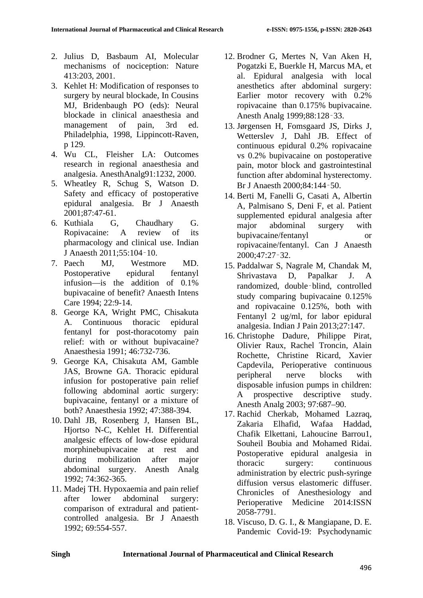- 2. Julius D, Basbaum AI, Molecular mechanisms of nociception: Nature 413:203, 2001.
- 3. Kehlet H: Modification of responses to surgery by neural blockade, In Cousins MJ, Bridenbaugh PO (eds): Neural blockade in clinical anaesthesia and management of pain, 3rd ed. Philadelphia, 1998, Lippincott-Raven, p 129.
- 4. Wu CL, Fleisher LA: Outcomes research in regional anaesthesia and analgesia. AnesthAnalg91:1232, 2000.
- 5. Wheatley R, Schug S, Watson D. Safety and efficacy of postoperative epidural analgesia. Br J Anaesth 2001;87:47-61.
- 6. Kuthiala G, Chaudhary G. Ropivacaine: A review of its pharmacology and clinical use. Indian J Anaesth 2011;55:104‑10.
- 7. Paech MJ, Westmore MD. Postoperative epidural fentanyl infusion—is the addition of 0.1% bupivacaine of benefit? Anaesth Intens Care 1994; 22:9-14.
- 8. George KA, Wright PMC, Chisakuta A. Continuous thoracic epidural fentanyl for post-thoracotomy pain relief: with or without bupivacaine? Anaesthesia 1991; 46:732-736.
- 9. George KA, Chisakuta AM, Gamble JAS, Browne GA. Thoracic epidural infusion for postoperative pain relief following abdominal aortic surgery: bupivacaine, fentanyl or a mixture of both? Anaesthesia 1992; 47:388-394.
- 10. Dahl JB, Rosenberg J, Hansen BL, Hjortso N-C, Kehlet H. Differential analgesic effects of low-dose epidural morphinebupivacaine at rest and during mobilization after major abdominal surgery. Anesth Analg 1992; 74:362-365.
- 11. Madej TH. Hypoxaemia and pain relief after lower abdominal surgery: comparison of extradural and patientcontrolled analgesia. Br J Anaesth 1992; 69:554-557.
- 12. Brodner G, Mertes N, Van Aken H, Pogatzki E, Buerkle H, Marcus MA, et al. Epidural analgesia with local anesthetics after abdominal surgery: Earlier motor recovery with 0.2% ropivacaine than 0.175% bupivacaine. Anesth Analg 1999;88:128‑33.
- 13. Jørgensen H, Fomsgaard JS, Dirks J, Wetterslev J, Dahl JB. Effect of continuous epidural 0.2% ropivacaine vs 0.2% bupivacaine on postoperative pain, motor block and gastrointestinal function after abdominal hysterectomy. Br J Anaesth 2000;84:144‑50.
- 14. Berti M, Fanelli G, Casati A, Albertin A, Palmisano S, Deni F, et al. Patient supplemented epidural analgesia after major abdominal surgery with bupivacaine/fentanyl or ropivacaine/fentanyl. Can J Anaesth 2000;47:27‑32.
- 15. Paddalwar S, Nagrale M, Chandak M, Shrivastava D, Papalkar J. A randomized, double‑blind, controlled study comparing bupivacaine 0.125% and ropivacaine 0.125%, both with Fentanyl 2 ug/ml, for labor epidural analgesia. Indian J Pain 2013;27:147.
- 16. Christophe Dadure, Philippe Pirat, Olivier Raux, Rachel Troncin, Alain Rochette, Christine Ricard, Xavier Capdevila, Perioperative continuous peripheral nerve blocks with disposable infusion pumps in children: A prospective descriptive study. Anesth Analg 2003; 97:687–90.
- 17. Rachid Cherkab, Mohamed Lazraq, Zakaria Elhafid, Wafaa Haddad, Chafik Elkettani, Lahoucine Barrou1, Souheil Boubia and Mohamed Ridai. Postoperative epidural analgesia in thoracic surgery: continuous administration by electric push-syringe diffusion versus elastomeric diffuser. Chronicles of Anesthesiology and Perioperative Medicine 2014:ISSN 2058-7791.
- 18. Viscuso, D. G. I., & Mangiapane, D. E. Pandemic Covid-19: Psychodynamic